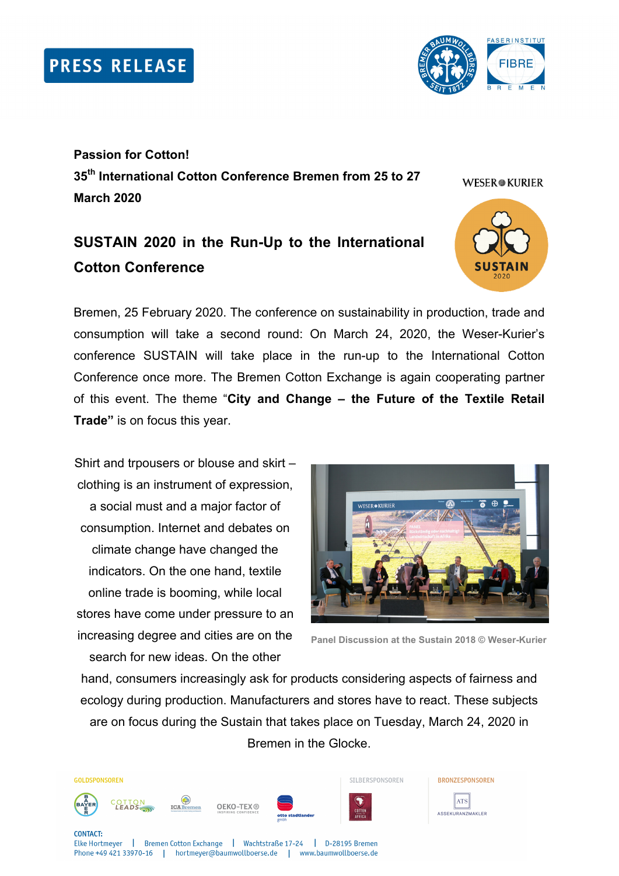

**Passion for Cotton! 35th International Cotton Conference Bremen from 25 to 27 March 2020** 

# **SUSTAIN 2020 in the Run-Up to the International Cotton Conference**

Bremen, 25 February 2020. The conference on sustainability in production, trade and consumption will take a second round: On March 24, 2020, the Weser-Kurier's conference SUSTAIN will take place in the run-up to the International Cotton Conference once more. The Bremen Cotton Exchange is again cooperating partner of this event. The theme "**City and Change – the Future of the Textile Retail Trade"** is on focus this year.

Shirt and trpousers or blouse and skirt – clothing is an instrument of expression, a social must and a major factor of consumption. Internet and debates on climate change have changed the indicators. On the one hand, textile online trade is booming, while local stores have come under pressure to an increasing degree and cities are on the search for new ideas. On the other



```
Panel Discussion at the Sustain 2018 © Weser-Kurier
```
hand, consumers increasingly ask for products considering aspects of fairness and ecology during production. Manufacturers and stores have to react. These subjects are on focus during the Sustain that takes place on Tuesday, March 24, 2020 in Bremen in the Glocke.



Phone +49 421 33970-16 | hortmeyer@baumwollboerse.de | www.baumwollboerse.de

BRONZESPONSOREN ATS ASSEKURANZMAKLER

**WESER®KURIER**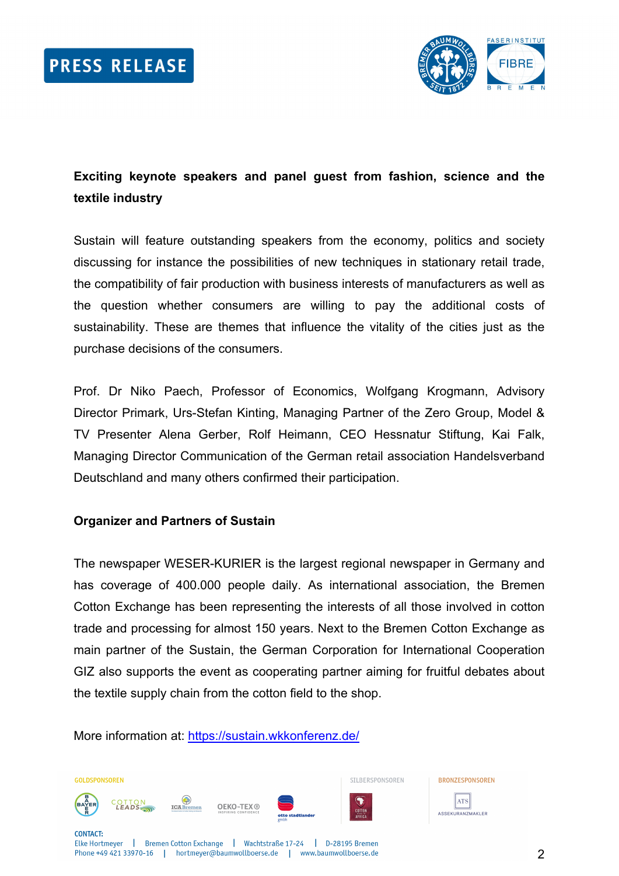

# **Exciting keynote speakers and panel guest from fashion, science and the textile industry**

Sustain will feature outstanding speakers from the economy, politics and society discussing for instance the possibilities of new techniques in stationary retail trade, the compatibility of fair production with business interests of manufacturers as well as the question whether consumers are willing to pay the additional costs of sustainability. These are themes that influence the vitality of the cities just as the purchase decisions of the consumers.

Prof. Dr Niko Paech, Professor of Economics, Wolfgang Krogmann, Advisory Director Primark, Urs-Stefan Kinting, Managing Partner of the Zero Group, Model & TV Presenter Alena Gerber, Rolf Heimann, CEO Hessnatur Stiftung, Kai Falk, Managing Director Communication of the German retail association Handelsverband Deutschland and many others confirmed their participation.

## **Organizer and Partners of Sustain**

The newspaper WESER-KURIER is the largest regional newspaper in Germany and has coverage of 400.000 people daily. As international association, the Bremen Cotton Exchange has been representing the interests of all those involved in cotton trade and processing for almost 150 years. Next to the Bremen Cotton Exchange as main partner of the Sustain, the German Corporation for International Cooperation GIZ also supports the event as cooperating partner aiming for fruitful debates about the textile supply chain from the cotton field to the shop.

More information at: https://sustain.wkkonferenz.de/

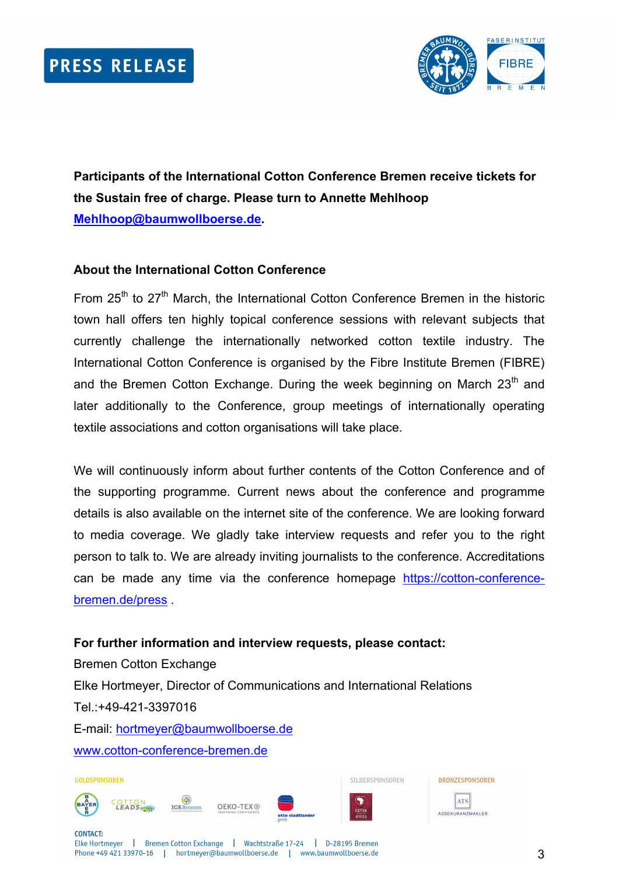

**Participants of the International Cotton Conference Bremen receive tickets for the Sustain free of charge. Please turn to Annette Mehlhoop Mehlhoop@baumwollboerse.de.** 

#### **About the International Cotton Conference**

From  $25<sup>th</sup>$  to  $27<sup>th</sup>$  March, the International Cotton Conference Bremen in the historic town hall offers ten highly topical conference sessions with relevant subjects that currently challenge the internationally networked cotton textile industry. The International Cotton Conference is organised by the Fibre Institute Bremen (FIBRE) and the Bremen Cotton Exchange. During the week beginning on March  $23<sup>th</sup>$  and later additionally to the Conference, group meetings of internationally operating textile associations and cotton organisations will take place.

We will continuously inform about further contents of the Cotton Conference and of the supporting programme. Current news about the conference and programme details is also available on the internet site of the conference. We are looking forward to media coverage. We gladly take interview requests and refer you to the right person to talk to. We are already inviting journalists to the conference. Accreditations can be made any time via the conference homepage https://cotton-conferencebremen.de/press .

## **For further information and interview requests, please contact:**

Bremen Cotton Exchange Elke Hortmeyer, Director of Communications and International Relations Tel.:+49-421-3397016 E-mail: hortmeyer@baumwollboerse.de www.cotton-conference-bremen.de

GOLDSPONSOREN







SILBERSPONSOREN



**CONTACT:** Elke Hortmeyer | Bremen Cotton Exchange | Wachtstraße 17-24 | D-28195 Bremen Phone +49 421 33970-16 | hortmeyer@baumwollboerse.de | www.baumwollboerse.de